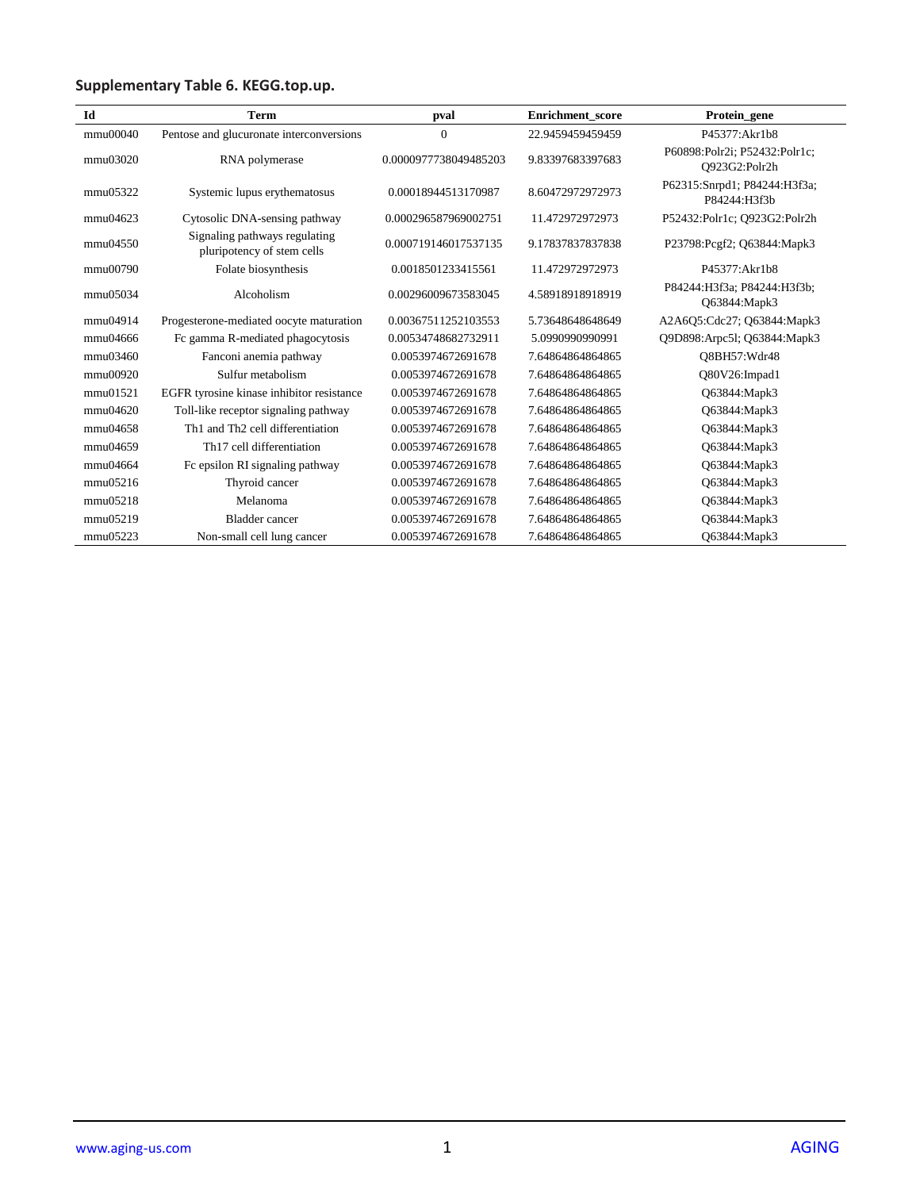## **Supplementary Table 6. KEGG.top.up.**

| Id       | <b>Term</b>                                                 | pval                  | <b>Enrichment</b> score | Protein gene                                   |
|----------|-------------------------------------------------------------|-----------------------|-------------------------|------------------------------------------------|
| mmu00040 | Pentose and glucuronate interconversions                    | $\mathbf{0}$          | 22.9459459459459        | P45377: Akr1b8                                 |
| mmu03020 | RNA polymerase                                              | 0.0000977738049485203 | 9.83397683397683        | P60898:Polr2i; P52432:Polr1c;<br>Q923G2:Polr2h |
| mmu05322 | Systemic lupus erythematosus                                | 0.00018944513170987   | 8.60472972972973        | P62315:Snrpd1; P84244:H3f3a;<br>P84244:H3f3b   |
| mmu04623 | Cytosolic DNA-sensing pathway                               | 0.000296587969002751  | 11.472972972973         | P52432:Polr1c; O923G2:Polr2h                   |
| mmu04550 | Signaling pathways regulating<br>pluripotency of stem cells | 0.000719146017537135  | 9.17837837837838        | P23798:Pcgf2; Q63844:Mapk3                     |
| mmu00790 | Folate biosynthesis                                         | 0.0018501233415561    | 11.472972972973         | P45377:Akr1b8                                  |
| mmu05034 | Alcoholism                                                  | 0.00296009673583045   | 4.58918918918919        | P84244:H3f3a; P84244:H3f3b;<br>Q63844: Mapk3   |
| mmu04914 | Progesterone-mediated oocyte maturation                     | 0.00367511252103553   | 5.73648648648649        | A2A6Q5:Cdc27; Q63844:Mapk3                     |
| mmu04666 | Fc gamma R-mediated phagocytosis                            | 0.00534748682732911   | 5.0990990990991         | Q9D898:Arpc51; Q63844:Mapk3                    |
| mmu03460 | Fanconi anemia pathway                                      | 0.0053974672691678    | 7.64864864864865        | O8BH57:Wdr48                                   |
| mmu00920 | Sulfur metabolism                                           | 0.0053974672691678    | 7.64864864864865        | Q80V26:Impad1                                  |
| mmu01521 | EGFR tyrosine kinase inhibitor resistance                   | 0.0053974672691678    | 7.64864864864865        | O63844: Mapk3                                  |
| mmu04620 | Toll-like receptor signaling pathway                        | 0.0053974672691678    | 7.64864864864865        | Q63844: Mapk3                                  |
| mmu04658 | Th <sub>1</sub> and Th <sub>2</sub> cell differentiation    | 0.0053974672691678    | 7.64864864864865        | Q63844: Mapk3                                  |
| mmu04659 | Th <sub>17</sub> cell differentiation                       | 0.0053974672691678    | 7.64864864864865        | O63844:Mapk3                                   |
| mmu04664 | Fc epsilon RI signaling pathway                             | 0.0053974672691678    | 7.64864864864865        | Q63844: Mapk3                                  |
| mmu05216 | Thyroid cancer                                              | 0.0053974672691678    | 7.64864864864865        | O63844: Mapk3                                  |
| mmu05218 | Melanoma                                                    | 0.0053974672691678    | 7.64864864864865        | Q63844: Mapk3                                  |
| mmu05219 | Bladder cancer                                              | 0.0053974672691678    | 7.64864864864865        | O63844:Mapk3                                   |
| mmu05223 | Non-small cell lung cancer                                  | 0.0053974672691678    | 7.64864864864865        | O63844:Mapk3                                   |